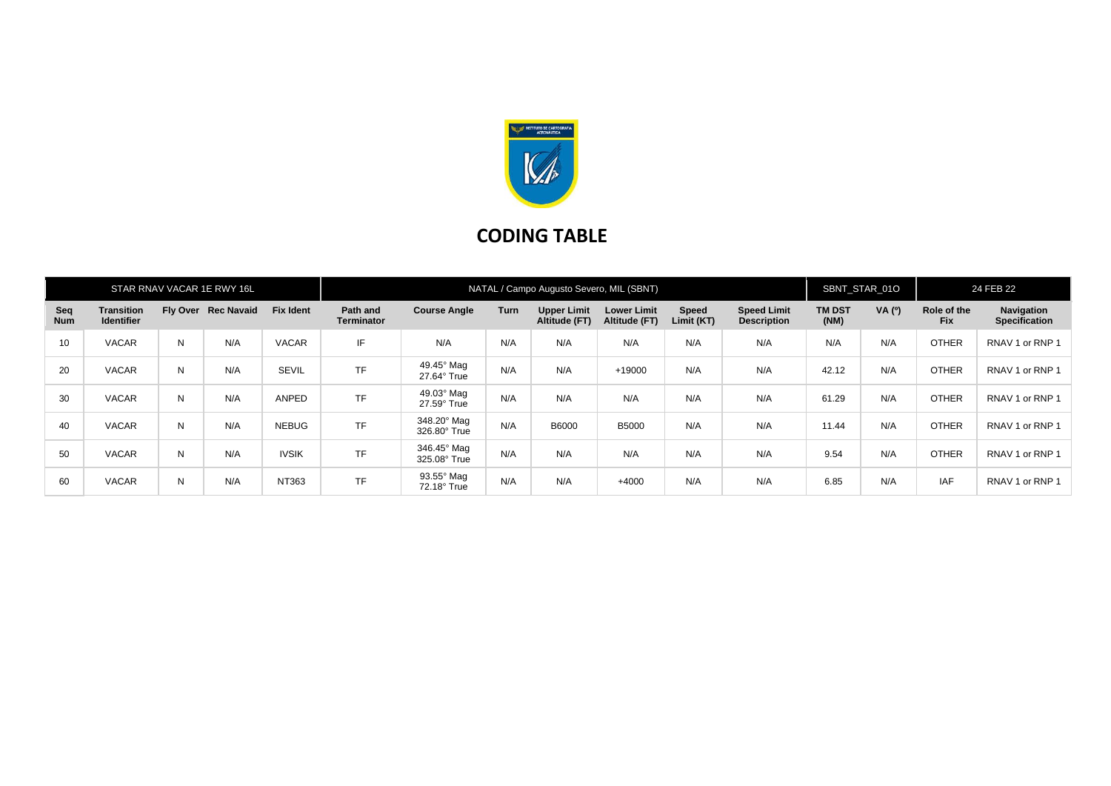

## **CODING TABLE**

| STAR RNAV VACAR 1E RWY 16L |                                        |   |                     |                  | NATAL / Campo Augusto Severo, MIL (SBNT) |                             |             |                                     |                                     |                            |                                          |                       | SBNT STAR 01O |                           | 24 FEB 22                          |  |
|----------------------------|----------------------------------------|---|---------------------|------------------|------------------------------------------|-----------------------------|-------------|-------------------------------------|-------------------------------------|----------------------------|------------------------------------------|-----------------------|---------------|---------------------------|------------------------------------|--|
| Seq<br><b>Num</b>          | <b>Transition</b><br><b>Identifier</b> |   | Fly Over Rec Navaid | <b>Fix Ident</b> | Path and<br><b>Terminator</b>            | <b>Course Angle</b>         | <b>Turn</b> | <b>Upper Limit</b><br>Altitude (FT) | <b>Lower Limit</b><br>Altitude (FT) | <b>Speed</b><br>Limit (KT) | <b>Speed Limit</b><br><b>Description</b> | <b>TM DST</b><br>(NM) | VA (0)        | Role of the<br><b>Fix</b> | Navigation<br><b>Specification</b> |  |
| 10                         | <b>VACAR</b>                           | N | N/A                 | VACAR            | IF.                                      | N/A                         | N/A         | N/A                                 | N/A                                 | N/A                        | N/A                                      | N/A                   | N/A           | <b>OTHER</b>              | RNAV 1 or RNP 1                    |  |
| 20                         | <b>VACAR</b>                           | N | N/A                 | <b>SEVIL</b>     | <b>TF</b>                                | 49.45° Mag<br>27.64° True   | N/A         | N/A                                 | +19000                              | N/A                        | N/A                                      | 42.12                 | N/A           | <b>OTHER</b>              | RNAV 1 or RNP 1                    |  |
| 30                         | <b>VACAR</b>                           | N | N/A                 | ANPED            | <b>TF</b>                                | 49.03° Mag<br>27.59° True   | N/A         | N/A                                 | N/A                                 | N/A                        | N/A                                      | 61.29                 | N/A           | <b>OTHER</b>              | RNAV 1 or RNP 1                    |  |
| 40                         | <b>VACAR</b>                           | N | N/A                 | <b>NEBUG</b>     | <b>TF</b>                                | 348.20° Mag<br>326.80° True | N/A         | B6000                               | <b>B5000</b>                        | N/A                        | N/A                                      | 11.44                 | N/A           | <b>OTHER</b>              | RNAV 1 or RNP 1                    |  |
| 50                         | <b>VACAR</b>                           | N | N/A                 | <b>IVSIK</b>     | <b>TF</b>                                | 346.45° Mag<br>325.08° True | N/A         | N/A                                 | N/A                                 | N/A                        | N/A                                      | 9.54                  | N/A           | <b>OTHER</b>              | RNAV 1 or RNP 1                    |  |
| 60                         | <b>VACAR</b>                           | N | N/A                 | NT363            | <b>TF</b>                                | 93.55° Mag<br>72.18° True   | N/A         | N/A                                 | $+4000$                             | N/A                        | N/A                                      | 6.85                  | N/A           | <b>IAF</b>                | RNAV 1 or RNP 1                    |  |